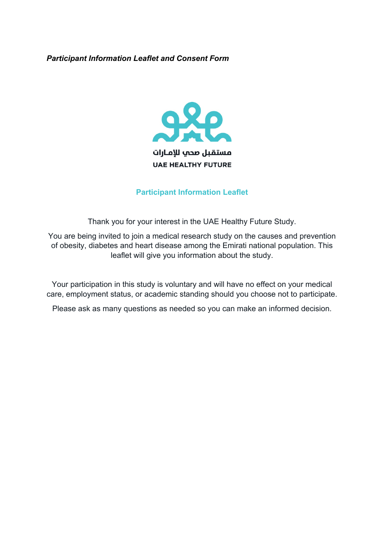## *Participant Information Leaflet and Consent Form*



## **Participant Information Leaflet**

Thank you for your interest in the UAE Healthy Future Study.

You are being invited to join a medical research study on the causes and prevention of obesity, diabetes and heart disease among the Emirati national population. This leaflet will give you information about the study.

Your participation in this study is voluntary and will have no effect on your medical care, employment status, or academic standing should you choose not to participate.

Please ask as many questions as needed so you can make an informed decision.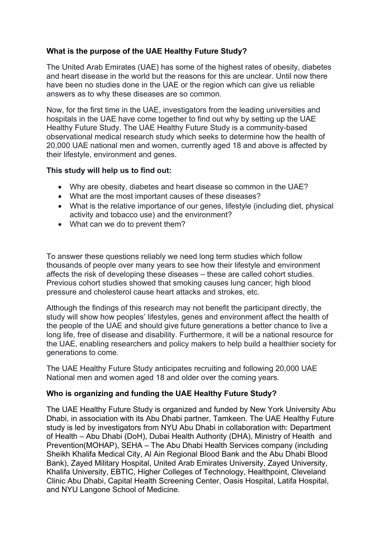# **What is the purpose of the UAE Healthy Future Study?**

The United Arab Emirates (UAE) has some of the highest rates of obesity, diabetes and heart disease in the world but the reasons for this are unclear. Until now there have been no studies done in the UAE or the region which can give us reliable answers as to why these diseases are so common.

Now, for the first time in the UAE, investigators from the leading universities and hospitals in the UAE have come together to find out why by setting up the UAE Healthy Future Study. The UAE Healthy Future Study is a community-based observational medical research study which seeks to determine how the health of 20,000 UAE national men and women, currently aged 18 and above is affected by their lifestyle, environment and genes.

## **This study will help us to find out:**

- Why are obesity, diabetes and heart disease so common in the UAE?
- What are the most important causes of these diseases?
- What is the relative importance of our genes, lifestyle (including diet, physical activity and tobacco use) and the environment?
- What can we do to prevent them?

To answer these questions reliably we need long term studies which follow thousands of people over many years to see how their lifestyle and environment affects the risk of developing these diseases – these are called cohort studies. Previous cohort studies showed that smoking causes lung cancer; high blood pressure and cholesterol cause heart attacks and strokes, etc.

Although the findings of this research may not benefit the participant directly, the study will show how peoples' lifestyles, genes and environment affect the health of the people of the UAE and should give future generations a better chance to live a long life, free of disease and disability. Furthermore, it will be a national resource for the UAE, enabling researchers and policy makers to help build a healthier society for generations to come.

The UAE Healthy Future Study anticipates recruiting and following 20,000 UAE National men and women aged 18 and older over the coming years.

# **Who is organizing and funding the UAE Healthy Future Study?**

The UAE Healthy Future Study is organized and funded by New York University Abu Dhabi, in association with its Abu Dhabi partner, Tamkeen. The UAE Healthy Future study is led by investigators from NYU Abu Dhabi in collaboration with: Department of Health – Abu Dhabi (DoH), Dubai Health Authority (DHA), Ministry of Health and Prevention(MOHAP), SEHA – The Abu Dhabi Health Services company (including Sheikh Khalifa Medical City, Al Ain Regional Blood Bank and the Abu Dhabi Blood Bank), Zayed Military Hospital, United Arab Emirates University, Zayed University, Khalifa University, EBTIC, Higher Colleges of Technology, Healthpoint, Cleveland Clinic Abu Dhabi, Capital Health Screening Center, Oasis Hospital, Latifa Hospital, and NYU Langone School of Medicine.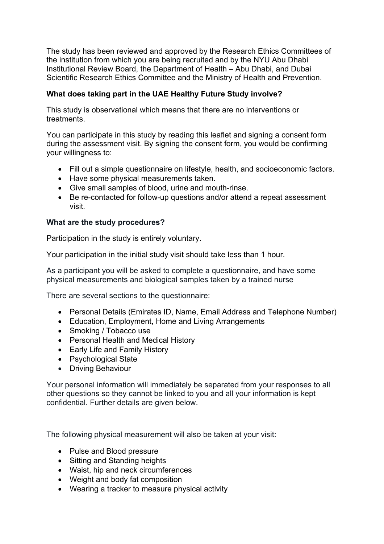The study has been reviewed and approved by the Research Ethics Committees of the institution from which you are being recruited and by the NYU Abu Dhabi Institutional Review Board, the Department of Health – Abu Dhabi, and Dubai Scientific Research Ethics Committee and the Ministry of Health and Prevention.

# **What does taking part in the UAE Healthy Future Study involve?**

This study is observational which means that there are no interventions or treatments.

You can participate in this study by reading this leaflet and signing a consent form during the assessment visit. By signing the consent form, you would be confirming your willingness to:

- Fill out a simple questionnaire on lifestyle, health, and socioeconomic factors.
- Have some physical measurements taken.
- Give small samples of blood, urine and mouth-rinse.
- Be re-contacted for follow-up questions and/or attend a repeat assessment visit.

## **What are the study procedures?**

Participation in the study is entirely voluntary.

Your participation in the initial study visit should take less than 1 hour.

As a participant you will be asked to complete a questionnaire, and have some physical measurements and biological samples taken by a trained nurse

There are several sections to the questionnaire:

- Personal Details (Emirates ID, Name, Email Address and Telephone Number)
- Education, Employment, Home and Living Arrangements
- Smoking / Tobacco use
- Personal Health and Medical History
- Early Life and Family History
- Psychological State
- Driving Behaviour

Your personal information will immediately be separated from your responses to all other questions so they cannot be linked to you and all your information is kept confidential. Further details are given below.

The following physical measurement will also be taken at your visit:

- Pulse and Blood pressure
- Sitting and Standing heights
- Waist, hip and neck circumferences
- Weight and body fat composition
- Wearing a tracker to measure physical activity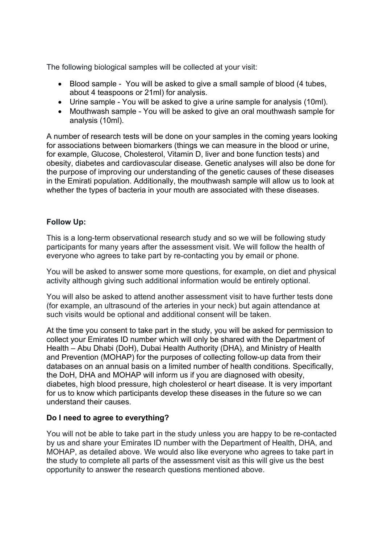The following biological samples will be collected at your visit:

- Blood sample You will be asked to give a small sample of blood (4 tubes, about 4 teaspoons or 21ml) for analysis.
- Urine sample You will be asked to give a urine sample for analysis (10ml).
- Mouthwash sample You will be asked to give an oral mouthwash sample for analysis (10ml).

A number of research tests will be done on your samples in the coming years looking for associations between biomarkers (things we can measure in the blood or urine, for example, Glucose, Cholesterol, Vitamin D, liver and bone function tests) and obesity, diabetes and cardiovascular disease. Genetic analyses will also be done for the purpose of improving our understanding of the genetic causes of these diseases in the Emirati population. Additionally, the mouthwash sample will allow us to look at whether the types of bacteria in your mouth are associated with these diseases.

# **Follow Up:**

This is a long-term observational research study and so we will be following study participants for many years after the assessment visit. We will follow the health of everyone who agrees to take part by re-contacting you by email or phone.

You will be asked to answer some more questions, for example, on diet and physical activity although giving such additional information would be entirely optional.

You will also be asked to attend another assessment visit to have further tests done (for example, an ultrasound of the arteries in your neck) but again attendance at such visits would be optional and additional consent will be taken.

At the time you consent to take part in the study, you will be asked for permission to collect your Emirates ID number which will only be shared with the Department of Health – Abu Dhabi (DoH), Dubai Health Authority (DHA), and Ministry of Health and Prevention (MOHAP) for the purposes of collecting follow-up data from their databases on an annual basis on a limited number of health conditions. Specifically, the DoH, DHA and MOHAP will inform us if you are diagnosed with obesity, diabetes, high blood pressure, high cholesterol or heart disease. It is very important for us to know which participants develop these diseases in the future so we can understand their causes.

## **Do I need to agree to everything?**

You will not be able to take part in the study unless you are happy to be re-contacted by us and share your Emirates ID number with the Department of Health, DHA, and MOHAP, as detailed above. We would also like everyone who agrees to take part in the study to complete all parts of the assessment visit as this will give us the best opportunity to answer the research questions mentioned above.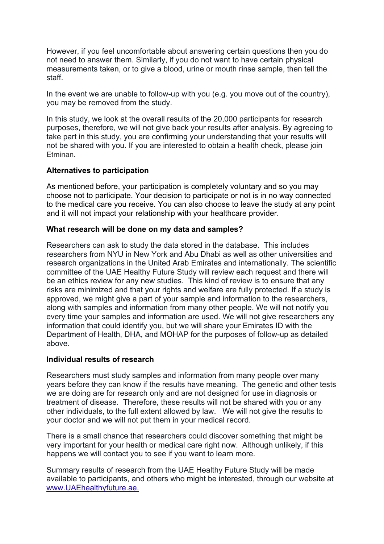However, if you feel uncomfortable about answering certain questions then you do not need to answer them. Similarly, if you do not want to have certain physical measurements taken, or to give a blood, urine or mouth rinse sample, then tell the staff.

In the event we are unable to follow-up with you (e.g. you move out of the country), you may be removed from the study.

In this study, we look at the overall results of the 20,000 participants for research purposes, therefore, we will not give back your results after analysis. By agreeing to take part in this study, you are confirming your understanding that your results will not be shared with you. If you are interested to obtain a health check, please join Etminan.

## **Alternatives to participation**

As mentioned before, your participation is completely voluntary and so you may choose not to participate. Your decision to participate or not is in no way connected to the medical care you receive. You can also choose to leave the study at any point and it will not impact your relationship with your healthcare provider.

## **What research will be done on my data and samples?**

Researchers can ask to study the data stored in the database. This includes researchers from NYU in New York and Abu Dhabi as well as other universities and research organizations in the United Arab Emirates and internationally. The scientific committee of the UAE Healthy Future Study will review each request and there will be an ethics review for any new studies. This kind of review is to ensure that any risks are minimized and that your rights and welfare are fully protected. If a study is approved, we might give a part of your sample and information to the researchers, along with samples and information from many other people. We will not notify you every time your samples and information are used. We will not give researchers any information that could identify you, but we will share your Emirates ID with the Department of Health, DHA, and MOHAP for the purposes of follow-up as detailed above.

## **Individual results of research**

Researchers must study samples and information from many people over many years before they can know if the results have meaning. The genetic and other tests we are doing are for research only and are not designed for use in diagnosis or treatment of disease. Therefore, these results will not be shared with you or any other individuals, to the full extent allowed by law. We will not give the results to your doctor and we will not put them in your medical record.

There is a small chance that researchers could discover something that might be very important for your health or medical care right now. Although unlikely, if this happens we will contact you to see if you want to learn more.

Summary results of research from the UAE Healthy Future Study will be made available to participants, and others who might be interested, through our website at www.UAEhealthyfuture.ae.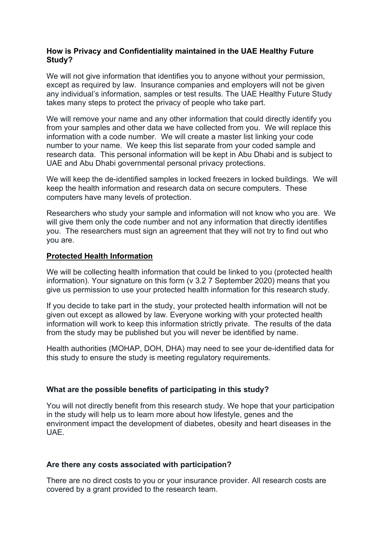## **How is Privacy and Confidentiality maintained in the UAE Healthy Future Study?**

We will not give information that identifies you to anyone without your permission, except as required by law. Insurance companies and employers will not be given any individual's information, samples or test results. The UAE Healthy Future Study takes many steps to protect the privacy of people who take part.

We will remove your name and any other information that could directly identify you from your samples and other data we have collected from you. We will replace this information with a code number. We will create a master list linking your code number to your name. We keep this list separate from your coded sample and research data. This personal information will be kept in Abu Dhabi and is subject to UAE and Abu Dhabi governmental personal privacy protections.

We will keep the de-identified samples in locked freezers in locked buildings. We will keep the health information and research data on secure computers. These computers have many levels of protection.

Researchers who study your sample and information will not know who you are. We will give them only the code number and not any information that directly identifies you. The researchers must sign an agreement that they will not try to find out who you are.

#### **Protected Health Information**

We will be collecting health information that could be linked to you (protected health information). Your signature on this form (v 3.2 7 September 2020) means that you give us permission to use your protected health information for this research study.

If you decide to take part in the study, your protected health information will not be given out except as allowed by law. Everyone working with your protected health information will work to keep this information strictly private. The results of the data from the study may be published but you will never be identified by name.

Health authorities (MOHAP, DOH, DHA) may need to see your de-identified data for this study to ensure the study is meeting regulatory requirements.

## **What are the possible benefits of participating in this study?**

You will not directly benefit from this research study. We hope that your participation in the study will help us to learn more about how lifestyle, genes and the environment impact the development of diabetes, obesity and heart diseases in the UAE.

## **Are there any costs associated with participation?**

There are no direct costs to you or your insurance provider. All research costs are covered by a grant provided to the research team.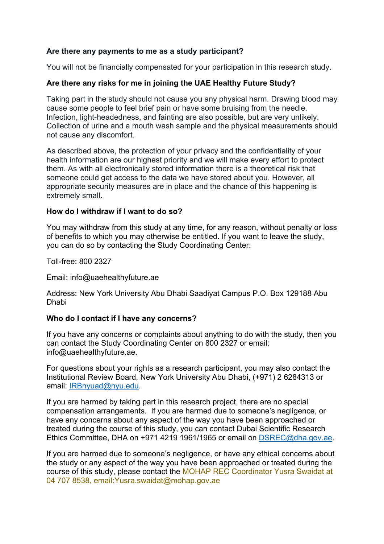## **Are there any payments to me as a study participant?**

You will not be financially compensated for your participation in this research study.

## **Are there any risks for me in joining the UAE Healthy Future Study?**

Taking part in the study should not cause you any physical harm. Drawing blood may cause some people to feel brief pain or have some bruising from the needle. Infection, light-headedness, and fainting are also possible, but are very unlikely. Collection of urine and a mouth wash sample and the physical measurements should not cause any discomfort.

As described above, the protection of your privacy and the confidentiality of your health information are our highest priority and we will make every effort to protect them. As with all electronically stored information there is a theoretical risk that someone could get access to the data we have stored about you. However, all appropriate security measures are in place and the chance of this happening is extremely small.

## **How do I withdraw if I want to do so?**

You may withdraw from this study at any time, for any reason, without penalty or loss of benefits to which you may otherwise be entitled. If you want to leave the study, you can do so by contacting the Study Coordinating Center:

Toll-free: 800 2327

Email: info@uaehealthyfuture.ae

Address: New York University Abu Dhabi Saadiyat Campus P.O. Box 129188 Abu Dhabi

## **Who do I contact if I have any concerns?**

If you have any concerns or complaints about anything to do with the study, then you can contact the Study Coordinating Center on 800 2327 or email: info@uaehealthyfuture.ae.

For questions about your rights as a research participant, you may also contact the Institutional Review Board, New York University Abu Dhabi, (+971) 2 6284313 or email: IRBnyuad@nyu.edu.

If you are harmed by taking part in this research project, there are no special compensation arrangements. If you are harmed due to someone's negligence, or have any concerns about any aspect of the way you have been approached or treated during the course of this study, you can contact Dubai Scientific Research Ethics Committee, DHA on +971 4219 1961/1965 or email on DSREC@dha.gov.ae.

If you are harmed due to someone's negligence, or have any ethical concerns about the study or any aspect of the way you have been approached or treated during the course of this study, please contact the MOHAP REC Coordinator Yusra Swaidat at 04 707 8538, email:Yusra.swaidat@mohap.gov.ae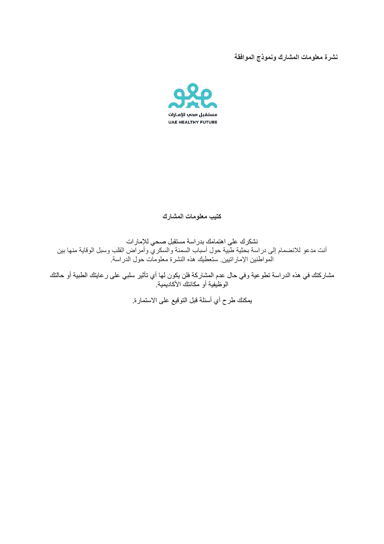## نشرة معلومات المشارك ونموذج الموافقة



**كراشملا تامولعم بیتك**

نشكرك على اهتمامك بدراسة مستقبل صحي للإمارات أنت مدعو للانضمام إلى در اسة بحثية طبية حول أسباب السمنة والسكري وأمر اض القلب وسبل الوقاية منها بين المواطنين الإماراتيين ستعطيك هذه النشرة معلومات حول الدراسة

مشاركتك في هذه الدراسة تطوعية وفي حال عدم المشاركة فلن يكون لها أي تأثير سلبي على رعايتك الطبية أو حالتك الوظيفية أو مكانتك الأكاديمية.

يمكنك طرح أي أسئلة قبل التوقيع على الاستمارة.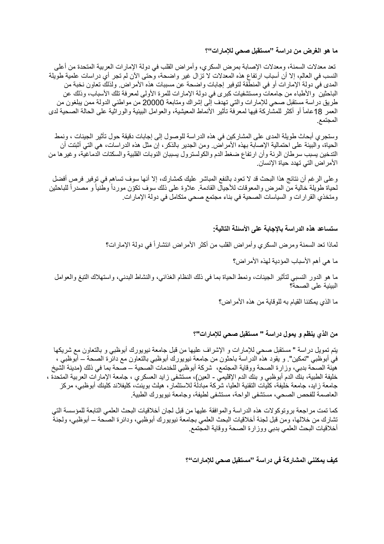#### ما هو الغرض من دراسة **"مستقبل صحي للإمارات**"؟

تعد معدلات السمنة، ومعدلات الإصابة بمرض السكري، وأمراض القلب في دولة الإمارات العربية المتحدة من أعلى النسب في العالم، إلا أن أسباب ارتفاع هذه المعدلات لا تزال غير واضحة، وحتى الأن لم تجر أي دراسات علمية طويلة المدى في دولة الإمارات أو في المنطقة لتوفير إجابات واضحة عن مسببات هذه الأمراض. ولذلك تعاون نخبة من الباحثين والأطباء من جامعات ومستشفيات كبرى في دولة الإمارات للمرة الأولى لمعرفة تلك الأسباب، وذلك عن طريق دراسة مستقبل صحي للإمارات والتي تهدف إلى إشراك ومتابعة 20000 من مواطني الدولة ممن بيلغون من العمر 18عاماً أو أكثر للمشاركة فيها لمعرفة تأثير الأنماط المعيشية، والعوامل البيئية والوراثية على الحالة الصحية لدى المجتمع

وستجري أبحاث طويلة المدى على المشاركين في هذه الدراسة للوصول إلى إجابات دقيقة حول تأثير الجينات ، ونمط الحياة، والبيئة على احتمالية الإصابة بهذه الأمراض ومن الجدير بالذكر ، إن مثل هذه الدراسات، هي التي أثبتت أن التدخين يسبب سرطان الرئة وأن ارتفاع ضغط الدم والكولسترول يسببان النوبات القلبية والسكتات الدماغية، وغير ها من الأمر اض التي تهدد حياة الإنسان

وعلى الرغم أن نتائج هذا البحث قد لا تعود بالنفع المباشر عليك كمشارك، إلا أنها سوف تساهم في توفير فرص أفضل لحياة طويلة خالية من المرض والمعوفات للأجيال القادمة. علاوة على ذلك سوف تكوّن مورداً وطّنياً و مصدراً للباحثين ومتخذي القرارات و السياسات الصحية في بناء مجتمع صحي متكامل في دولة الإمارات.

#### ستساعد هذه الدراسة بالإجابة على الأسئلة التالية<del>:</del>

لماذا تعد السمنة ومرض السكري وأمراض القلب من أكثر الأمراض انتشار أ في دولة الإمارات؟

ما هي أهم الأسباب المؤدية لهذه الأمر اض؟

ما هو الدور النسبي لتأثير الجينات، ونمط الحياة بما في ذلك النظام الغذائي، والنشاط البدني، واستهلاك التبغ والعوامل البيئية على الصحة؟

ما الذي يمكننا القيام به للوقاية من هذه الأمر اض؟

#### من الذي ينظم و يمول دراسة **"** مستقبل صحى للإمارات**"**؟

بتم تمويل دراسة " مستقبل صحبي للإمارات و الإشراف عليها من قبل جامعة نيويورك أبوظبي و بالتعاون مع شريكها في أبوظبي "تمكين". و يقود هذه الدراسة باحثون من جامعة نيويورك أبوظبي بالتعاون مع دائرة الصحة – أبوظبي ، هيئة الصحة بدبي، وزارة الصحة ووقاية المجتمع، شركة أبوظبي للخدمات الصحية – صحة بما في ذلك (مدينة الشيخ خليفة الطبية، بنك الدم أبوظبي و بنك الدم الإقليمي - العين)، مستشفى زايد العسكري ، جامعة الإمارات العربية المتحدة ، جامعة ز ابد، جامعة خليفة، كلّيات التقنية العليا، شركة مبادلة للاستثمار ، هيلث بوينت، كليفلاند كلينك أبوظبي، مركز العاصمة للفحص الصحي، مستشفى الواحة، مستشفى لطيفة، وجامعة نيويورك الطبية

كما تمت مراجعة بروتوكولات هذه الدراسة والموافقة عليها من قبل لجان أخلاقيات البحث العلمي التابعة للمؤسسة التي تشارك من خلالها، ومن قبل لجنة أخلاقيات البحث العلمي بجامعة نيويورك أبوظبي، ودائرة الصحة – أبوظبي، ولجنة أخلاقيات البحث العلمي بدبي ووز ارة الصحة ووقاية المجتمع

كيف يمكننى المشاركة ف*ي* در اسة "مستقبل صحى للإمار ات"؟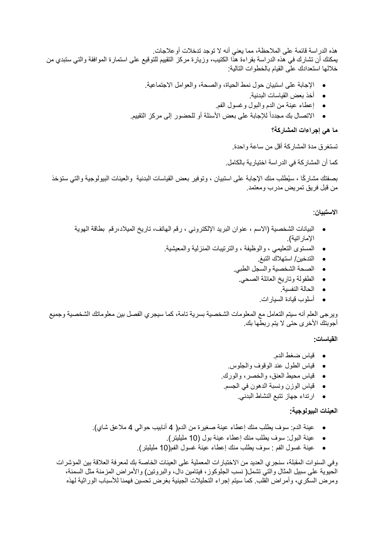هذه الدراسة قائمة على الملاحظة، مما يعني أنه لا توجد تدخلات أو علاجات. يمكنك أن نشارك في هذه الدراسة بقراءة هذا الكتيب، وزيارة مركز التقييم للتوقيع على استمارة الموافقة والتي ستبدي من خلالها استعدادك على القيام بالخطوات التالية:

- الإجابة على استبيان حول نمط الحياة، والصحة، والعوامل الاجتماعية
	- .ةیندبلا تاسایقلا ضعب ذخأ
	- إعطاء عينة من الدم والبول وغسول الفم.
- الاتصال بك مجدداً للإجابة على بعض الأسئلة أو للحضور إلى مركز التقييم.

#### ما ه*ي* إجراءات المشاركة؟

تستغرق مدة المشاركة أقل من ساعة واحدة.

كما أن المشاركة في الدر اسة اختيارية بالكامل.

بصفتك مشاركًا ، سيُطلب منك الإجابة على استبيان ، وتوفير بعض القياسات البدنية والعينات البيولوجية والتي ستؤخذ من قبل فريق تمريض مدرب ومعتمد

**نایبتسلاا** :

- البيانات الشخصية (الاسم ، عنوان البريد الإلكتروني ، رقم الـهاتف، تاريخ الميلاد،رقم بطاقة الـهوية الإمار اتية).
	- المستوى التعليمى ، والوظيفة ، والترنيبات المنزلية والمعيشية
		- التدخين/ استهلاك التبغ
		- الصحة الشخصية والسجل الطبي.
			- الطفولة و تاريخ العائلة الصحي.
				- الحالة النفسية.
				- تارایسلا ةدایق بولسأ .

ويرجي العلم أنه سيتم التعامل مع المعلومات الشخصية بسرية تامة، كما سيجري الفصل بين معلوماتك الشخصية وجميع أجوبتك الأخرى حتى لا يتم ربطها بك

**:تاسایقلا**

- مدلا طغض سایق .
- فياس الطول عند الوقوف والجلوس.
- قياس محيط العنق، والخصر ، والورك .
- قياس الوزن ونسبة الدهون في الجسم
	- ارتداء جهاز نتبع النشاط البدني.

#### **:ةیجولویبلا تانیعلا**

- عينة الدم: سوف يطلب منك إعطاء عينة صغيرة من الدم( 4 أنابيب حوالي 4 ملاعق شاي).
	- عينة البول: سوف بطلب منك إعطاء عينة بول (10 مليليتر).
	- عينة غسول الفم : سوف يطلب منك إعطاء عينة غسول الفم(10 مليليتر).

وفي السنوات المقبلة، سنجر ي العديد من الاختبار ات المعملية على العينات الخاصة بك لمعر فة العلاقة بين المؤشر ات الحبوبة على سبيل المثال والتي تشمل( نسب الجلوكوز ، فيتامين دال، والبروتين) والأمراض المزمنة مثل السمنة، ومرض السكري، وأمراض القلب كما سيتم إجراء التحليلات الجينية بغرض تحسين فهمنا للأسباب الوراثية لهذه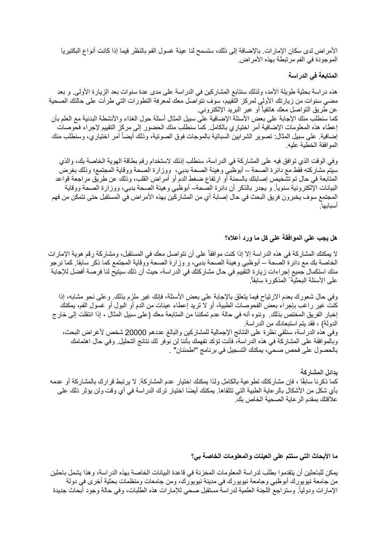الأمر اض لدى سكان الإمار ات. بالإضافة إلى ذلك، ستسمح لنا عينة غسول الفم بالنظر فيما إذا كانت أنواع البكتيريا الموجودة في الفم مرتبطة بهذه الأمراض.

المتابعة ف*ي* الدراسة

هذه دراسة بحثية طويلة الأمد، ولذلك سنتابع المشاركين في الدراسة على مدى عدة سنوات بعد الزيارة الأولى و بعد مضي سنوات من زيارتك الأولى لمركز التقييم، سوف نتواصل معك لمعرفة التطورات التي طرأت على حالتك الصحية عن طُريق التواصل معك هاتفياً أو عبر البريد الإلكتروني. كما سنطلب منك الإجابة على بعض الأسئلة الإضافية على سبيل المثال أسئلة حول الغذاء والأنشطة البدنية مع العلم بأن إعطاء هذه المعلومات الإضافية أمر اختياري بالكامل. كما سنطلب منك الحضور إلى مركز التقييم لإجراء فحوصات إضافية. على سبيل المثال: تصوير الشرايين السباتية بالموجات فوق الصوتية، وذلك أيضاً أمر اختياري، وسنطلب منك المو افقة الخطبة علبه

وفي الوقت الذي توافق فيه على المشاركة في الدراسة، سنطلب إذنك لاستخدام رقم بطاقة الهوية الخاصة بك، والذي سيتم مشاركته فقط مع دائرة الصحة – أبوظبي و هيئة الصحة بدبي، ووزارة الصحة ووقاية المجتمع؛ وذلك بغرض المتابعة في حال تم تشخيص إصابتك بالسمنة أو ارتفاع ضغط الدم أو أمراض القلب، وذلك عن طريق مراجعة قواعد البيانات الإلكترونية سنوياً. و يجدر بالذكر أن دائرة الصحةــ أبوظبي وهيئة الصحة بدبي، ووزارة الصحة ووقاية المجتمع سوف يخبرون فريق البحث في حال إصابة أي من المشاركين بهذه الأمر اض في المستقبل حتى نتمكن من فهم .اھبابسأ

#### هل يجب على الموافقة على كل ما ورد أعلاه؟

لا يمكنك المشاركة في هذه الدراسة إلا إذا كنت موافقاً على أن نتواصل معك في المستقبل، ومشاركة رقم هوية الإمارات الخاصة بك مع دائرة الصحة – أبوظبي وهيئة الصحة بدبي، و وزارة الصحة ووقاية المجتمع كما ذكر سابقا ٍ كما نرجو منك استكمال جميع إجر اءات زيار ة التقييم في حال مشاركتك في الدر اسة، حيث أن ذلك سيتيح لنا فرصـة أفضل للإجابة .ً على الأسئلة البحثیةً المذكورة سابقا

وفي حال شعورك بعدم الارتياح فيما يتعلق بالإجابة على بعض الأسئلة، فإنك غير ملزم بذلك. وعلى نحو مشابه، إذا كنت غير راغب بإجراء بعض الفحوصات الطبية، أو لا تريد إعطاء عينات من الدم أو البول أو غسول الفم، يمكنك إخبار الفريق المختص بذلك. وننوه أنه في حالة عدم تمكننا من المتابعة معك (على سبيل المثال ، إذا انتقلت إلى خارج الدولة) ، فقد بتم استبعادك من الدر اسة وفي هذه الدراسة، سنلقى نظرة على النتائج الإجمالية للمشاركين والبالغ عددهم 20000 شخص لأغراض البحث، وبالموافقة على المشاركة في هذه الدراسة، فأنت تؤكد تفهمك بأننا لن نوفر لك نتائج التحليل ٍ وفي حال اهتمامك بالحصول على فحص صحي، يمكنك النسجيل في برنامج "اطمئنان" .

بدائل المشاركة كما ذكرنا سابقًا ، فإن مشاركتك تطوعية بالكامل ولذا يمكنك اختيار عدم المشاركة. لا يرتبط قرارك بالمشاركة أو عدمه بأي شكل من الأشكال بالر عاية الطبية التي تتلقاها. يمكنك أيضًا اختيار ترك الدراسة في أي وقت ولن يؤثر ذلك على علاقتك بمقدم الر عاية الصحية الخاص بك

ما الأبحاث الت*ي* ستتم على العينات والمعلومات الخاصة بي؟

يمكن للباحثين أن يتقدمو ا بطلب لدر اسة المعلومات المخزنة في قاعدة البيانات الخاصة بهذه الدر اسة، و هذا يشمل باحثين من جامعة نيويورك أبوظبي وجامعة نيويورك في مدينة نيويورك، ومن جامعات ومنظمات بحثية أخرى في دولة الإمارات ودوليا وستراجع اللجنة العلمية لدراسة مستقبل صحي للإمارات هذه الطلبات، وفي حالة وجود أبحاث جديدة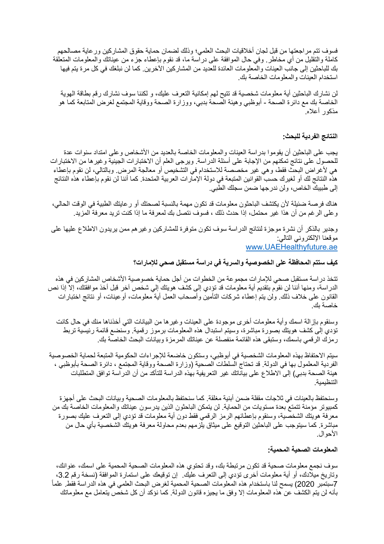فسوف نتم مراجعتها من قبل لجان أخلاقيات البحث العلمي؛ وذلك لضمان حماية حقوق المشاركين ور عاية مصالحهم كاملة والتقليل من أي مخاطر . وفي حال الموافقة على در اسة ما، قد نقوم بإعطاء جزء من عيناتك والمعلومات المتعلقة بك للباحثين إلى جانب العينات والمعلومات العائدة للعديد من المشاركين الآخرين. كما لن نبلغك في كل مرة يتم فيها استخدام العينات والمعلومات الخاصة بك

لن نشارك الباحثين أية معلومات شخصية قد تتيح لهم إمكانية التعرف عليك، و لكننا سوف نشارك رقم بطاقة الهوية الخاصة بك مع دائرة الصحة - أبوظبي و هيئة الصحة بدبي، ووزارة الصحة ووقاية المجتمع لغرض المتابعة كما هو مذكور أعلاه

النتائج الفردية للبحث<u>:</u>

يجب على الباحثين أن يقوموا بدراسة العينات والمعلومات الخاصة بالعديد من الأشخاص وعلى امتداد سنوات عدة للحصول على نتائج تمكنهم من الإجابة على أسئلة الدراسة. ويرجى العلم أن الاختبارات الجينية وغير ها من الاختبارات هي لأغراض البحث فقط، و هي غير مخصصة للاستخدام في التشخيص أو معالجة المرض وبالتالي، لن نقوم بإعطاء هذه النتائج لك أو لغيرك حسب القوانين المتبعة في دولة الإمار ات العربية المتحدة. كما أننا لن نقوم بإعطاء هذه النتائج إلى طبيبك الخاص، ولن ندرجها ضمن سجلك الطبي.

هناك فرصة ضئيلة لأن يكتشف الباحثون معلومات قد تكون مهمة بالنسبة لصحتك أو ر عايتك الطبية في الوقت الحالي، وعلى الرغم من أن هذا غير محتمل، إذا حدث ذلك ، فسوف نتصل بك لمعرفة ما إذا كنت تريد معرفة المزيد .

وجدير بالذكر أن نشرة موجزة لنتائج الدراسة سوف نكون متوفرة للمشاركين وغير هم ممن يريدون الاطلاع عليها على موقعنا الإلكتروني التالي: www.UAEHealthyfuture.ae

ك**يف سنتم المحافظة على الخصوصية والسرية في در**اسة مستقبل صحي للإمارات؟

نتخذ در اسة مستقبل صحى للإمار ات مجموعة من الخطوات من أجل حماية خصوصية الأشخاص المشاركين في هذه الدراسة، ومنها أننا لن نقوم بتقديم أية معلومات قد تؤدي إلى كشف هويتك إلى شخص آخر قبل أخذ موافقتك، إلا إذا نص القانون على خلاف ذلك. ولن بتم إعطاء شركات التأمين وأصحاب العمل أية معلومات، أو عينات، أو نتائج اختبارات خاصة بك

وسنقوم بإزالة اسمك وأية معلومات أخرى موجودة على العينات وغير ها من البيانات التي أخذناها منك في حال كانت تؤدي إلى كشف هويتك بصورة مباشرة، وسيتم استبدال هذه المعلومات برموز رقمية. وسنضع قائمة رئيسية تربط رمزك الرقمي باسمك، وستبقى هذه القائمة منفصلة عن عيناتك المرمزة وبيانات البحث الخاصة بك

سيتم الاحتفاظ بهذه المعلومات الشخصية في أبوظبي، وستكون خاضعة للإجراءات الحكومية المتبعة لحماية الخصوصية الفردية المعلمول بها في الدولة. قد تحتاج السلطات الصحية (وزارة الصحة ووقاية المجتمع ، دائرة الصحة بأبوظبي ، هيئة الصحة بدبي) إلى الاطلاع على بياناتك غير التعريفية بهذه الدراسة للتأكد من أن الدراسة توافق المتطلبات التنظیمیة

وسنحتفظ بالعينات في ثلاجات مقفلة ضمن أبنية مغلقة. كما سنحتفظ بالمعلومات الصحية وبيانات البحث على أجهزة كمبيوتر مؤمنة تتمتع بعدة مستويات من الحماية. لن يتمكن الباحثون الذين يدرسون عيناتك والمعلومات الخاصة بك من معرفة هويتك الشخصية، وسنقوم بإعطائهم الرمز الرقمي فقط دون أية معلومات قد تؤدي إلى التعرف عليك بصورة مباشرة كما سيتوجب على الباحثين التوقيع على ميثاق يلزمهم بعدم محاولة معرفة هويتك الشخصية بأي حال من الأحوال.

المعلومات الصحية المحمية<del>.</del>

سوف نجمع معلومات صحية قد تكون مرتبطة بك، وقد تحتوي هذه المعلومات الصحية المحمية على اسمك، عنوانك، وتاريخ ميلادك، أو أية معلومات أخرى تؤدي إلى التعرف عليك . إن توقيعك على استمارة الموافقة (نسخة رقم 3.2، ً 7 ربمتبس 2020) یسمح لنا باستخدام ھذه المعلومات الصحیة المحمیة لغرض البحث العلمي في ھذه الدراسة فقط. علما بأنه لن يتم الكشف عن هذه المعلومات إلا وفق ما يجيزه قانون الدولة. كما نؤكد أن كل شخص يتعامل مع معلوماتك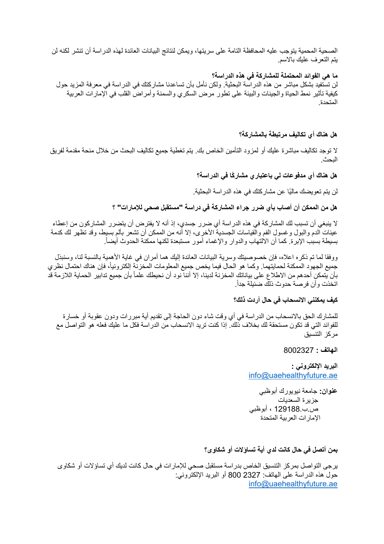الصحية المحمية يتوجب عليه المحافظة التامة على سريتها، ويمكن لنتائج البيانات العائدة لهذه الدراسة أن تنشر لكنه لن يتم التعرف عليك بالاسم

ما هي الفوائد المحتملة للمشاركة ف*ي* هذه الدراسة؟

لن تستفيد بشكل مباشر من هذه الدراسة البحثية. ولكن نأمل بأن تساعدنا مشاركتك في الدراسة في معرفة المزيد حول كيفية تأثير نمط الحياة والجينات والبيئة على تطور مرض السكري والسمنة وأمراض القلب في الإمارات العربية المتحدة

هل هناك أي تكالي**ف** مرتبطة بالمشاركة؟

لا توجد تكاليف مباشرة عليك أو لمزود التأمين الخاص بك. يتم تغطية جميع تكاليف البحث من خلال منحة مقدمة لفريق البحث ِ

**ھل ھناك أي مدفوعات لي باعتباري مشار ًكا في الدراسة؟**

لن يتم تعويضك ماليًا عن مشاركتك في هذه الدراسة البحثية.

هل من الممكن أن أصاب بأي ضرر جراء المشاركة في دراسة "مستقبل صحى للإمارات" ؟

لا ينبغي أن تسبب لك المشاركة في هذه الدراسة أي ضرر جسدي، إذ أنه لا يفترض أن يتضرر المشاركون من إعطاء عينات الدم والبول وغسول الفم والُّقياسات الْجسديةُ الأخرى، إلا أنه من الممكن أن تُشعَّر بألم بسيط، وقد تُظهَّر لك كدمة بسيطة بسبب الإبرة. كما أن الالتهاب والدوار والإغماء أمور مستبعدة لكنها ممكنة الحدوث أيضاً.

ورفقا لما تم ذكر ه اعلاه، فإن خصوصيتك وسرية البيانات العائدة إليك هما أمر ان في غاية الأهمية بالنسبة لنا، وسنبذل جميع الجهود الممكنة لحمايتهما. وكما هو الحال فيما يخص جميع المعلومات المخزنّة إلكترونياً، فإن هناك احتمال نظري بأن يتمكن أحدهم من الاطلاع على بياناتك المخزنة لدينا، إلا أننا نود أن نحيطك علماً بأن جميع تدابير الحماية اللازمة قد .ً اتخذت وأن فرصة حدوث ذلك ضئیلة جدا

كيف يمكننى الانسحاب ف*ي* حال أردت ذلك؟

للمشارك الحق بالانسحاب من الدراسة في أي وقت شاء دون الحاجة إلى تقديم أية مبررات ودون عقوبة أو خسارة للفوائد التي قد تكون مستحقة لك بخلاف ذلك. إذا كنت تريد الانسحاب من الدراسة فكل ما عليك فعله هو التواصل مع مركز التنسيق

 **: فتاھلا** 8002327

البريد الإلكترون*ي* : info@uaehealthyfuture.ae

**عنوان:** جامعة نيويور ك أبو ظبي جز بر ة السعديات ص ب.129188 ، أبوظبي الإمارات العربية المتحدة

**بمن أتصل في حال كانت لدى أية تساولات أو شكاو ي؟** 

ير جي التواصل بمركز التنسيق الخاص بدر اسة مستقبل صحى للإمار ات في حال كانت لديك أي تساؤلات أو شكاوى حول هذه الدراسة على الـهاتف: 2327 800 أو البريد الإلكترونـي: info@uaehealthyfuture.ae